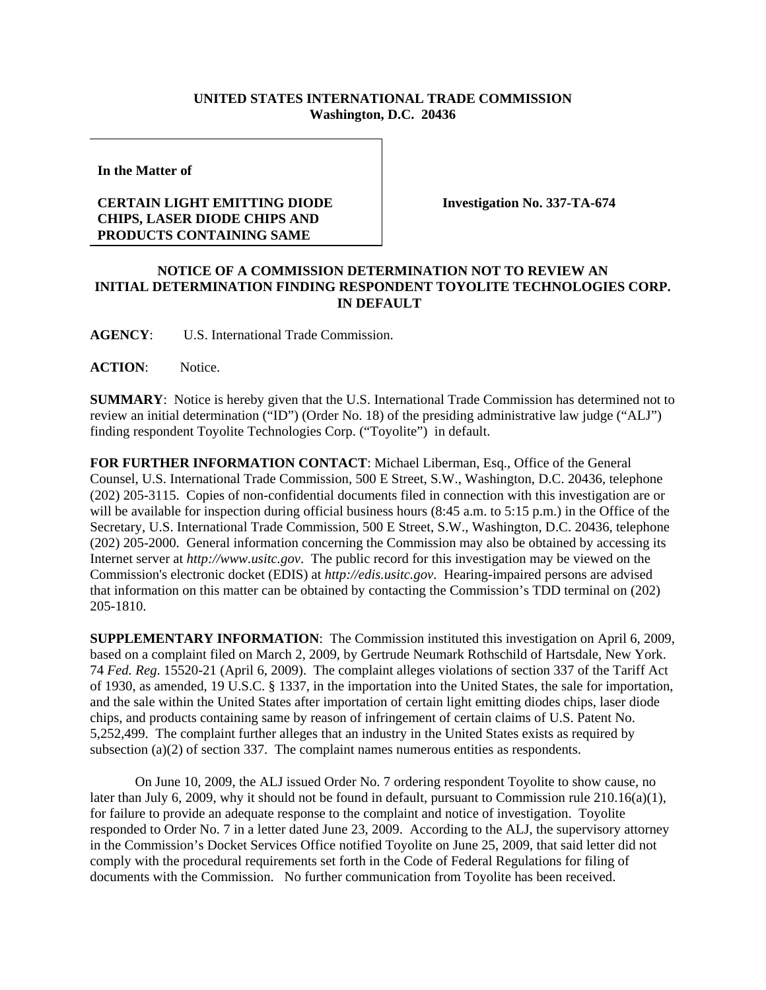## **UNITED STATES INTERNATIONAL TRADE COMMISSION Washington, D.C. 20436**

**In the Matter of** 

## **CERTAIN LIGHT EMITTING DIODE CHIPS, LASER DIODE CHIPS AND PRODUCTS CONTAINING SAME**

**Investigation No. 337-TA-674**

## **NOTICE OF A COMMISSION DETERMINATION NOT TO REVIEW AN INITIAL DETERMINATION FINDING RESPONDENT TOYOLITE TECHNOLOGIES CORP. IN DEFAULT**

**AGENCY**: U.S. International Trade Commission.

**ACTION**: Notice.

**SUMMARY**: Notice is hereby given that the U.S. International Trade Commission has determined not to review an initial determination ("ID") (Order No. 18) of the presiding administrative law judge ("ALJ") finding respondent Toyolite Technologies Corp. ("Toyolite") in default.

**FOR FURTHER INFORMATION CONTACT**: Michael Liberman, Esq., Office of the General Counsel, U.S. International Trade Commission, 500 E Street, S.W., Washington, D.C. 20436, telephone (202) 205-3115. Copies of non-confidential documents filed in connection with this investigation are or will be available for inspection during official business hours (8:45 a.m. to 5:15 p.m.) in the Office of the Secretary, U.S. International Trade Commission, 500 E Street, S.W., Washington, D.C. 20436, telephone (202) 205-2000. General information concerning the Commission may also be obtained by accessing its Internet server at *http://www.usitc.gov*. The public record for this investigation may be viewed on the Commission's electronic docket (EDIS) at *http://edis.usitc.gov*. Hearing-impaired persons are advised that information on this matter can be obtained by contacting the Commission's TDD terminal on (202) 205-1810.

**SUPPLEMENTARY INFORMATION**: The Commission instituted this investigation on April 6, 2009, based on a complaint filed on March 2, 2009, by Gertrude Neumark Rothschild of Hartsdale, New York. 74 *Fed. Reg*. 15520-21 (April 6, 2009). The complaint alleges violations of section 337 of the Tariff Act of 1930, as amended, 19 U.S.C. § 1337, in the importation into the United States, the sale for importation, and the sale within the United States after importation of certain light emitting diodes chips, laser diode chips, and products containing same by reason of infringement of certain claims of U.S. Patent No. 5,252,499. The complaint further alleges that an industry in the United States exists as required by subsection (a)(2) of section 337. The complaint names numerous entities as respondents.

On June 10, 2009, the ALJ issued Order No. 7 ordering respondent Toyolite to show cause, no later than July 6, 2009, why it should not be found in default, pursuant to Commission rule 210.16(a)(1), for failure to provide an adequate response to the complaint and notice of investigation. Toyolite responded to Order No. 7 in a letter dated June 23, 2009. According to the ALJ, the supervisory attorney in the Commission's Docket Services Office notified Toyolite on June 25, 2009, that said letter did not comply with the procedural requirements set forth in the Code of Federal Regulations for filing of documents with the Commission. No further communication from Toyolite has been received.